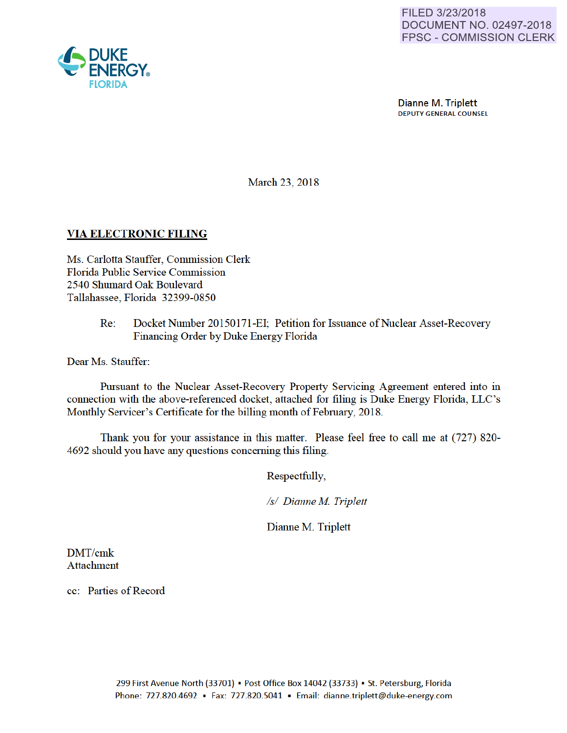

Dianne M. Triplett DEPUTY GENERAL COUNSEL

March 23, 2018

### VIA ELECTRONIC FILING

Ms. Carlotta Stauffer, Commission Clerk Florida Public Service Commission 2540 Shumard Oak Boulevard Tallahassee, Florida 32399-0850

> Re: Docket Number 20150171-EI; Petition for Issuance of Nuclear Asset-Recovery Financing Order by Duke Energy Florida

Dear Ms. Stauffer:

Pursuant to the Nuclear Asset-Recovery Property Servicing Agreement entered into in connection with the above-referenced docket, attached for filing is Duke Energy Florida, LLC's Monthly Servicer's Certificate for the billing month of February, 2018.

Thank you for your assistance in this matter. Please feel free to call me at (727) 820- 4692 should you have any questions conceming this filing.

Respectfully,

*Is/ Dianne M Triplett* 

Dianne M. Triplett

DMT/cmk Attachment

cc: Parties of Record

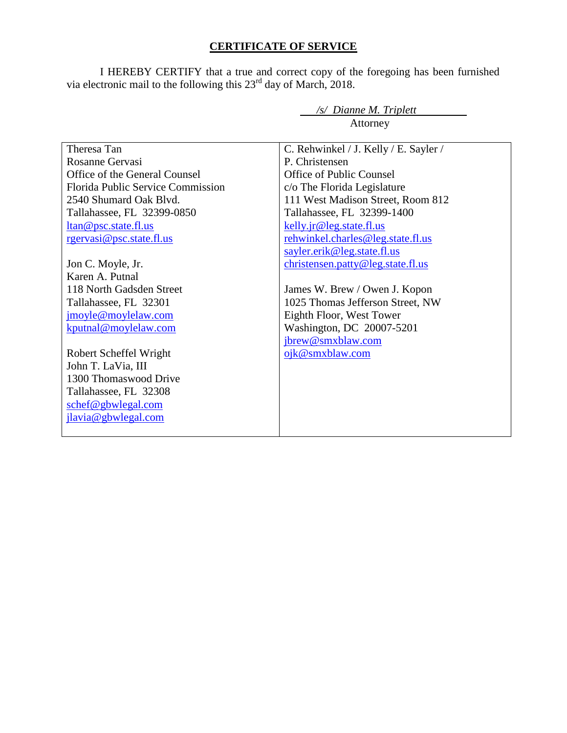# **CERTIFICATE OF SERVICE**

I HEREBY CERTIFY that a true and correct copy of the foregoing has been furnished via electronic mail to the following this  $23<sup>rd</sup>$  day of March, 2018.

*/s/ Dianne M. Triplett* 

|                                   | Attorney                              |  |  |
|-----------------------------------|---------------------------------------|--|--|
|                                   |                                       |  |  |
| Theresa Tan                       | C. Rehwinkel / J. Kelly / E. Sayler / |  |  |
| Rosanne Gervasi                   | P. Christensen                        |  |  |
| Office of the General Counsel     | Office of Public Counsel              |  |  |
| Florida Public Service Commission | c/o The Florida Legislature           |  |  |
| 2540 Shumard Oak Blvd.            | 111 West Madison Street, Room 812     |  |  |
| Tallahassee, FL 32399-0850        | Tallahassee, FL 32399-1400            |  |  |
| ltan@psc.state.fl.us              | kelly.jr@leg.state.fl.us              |  |  |
| rgervasi@psc.state.fl.us          | rehwinkel.charles@leg.state.fl.us     |  |  |
|                                   | sayler.erik@leg.state.fl.us           |  |  |
| Jon C. Moyle, Jr.                 | christensen.patty@leg.state.fl.us     |  |  |
| Karen A. Putnal                   |                                       |  |  |
| 118 North Gadsden Street          | James W. Brew / Owen J. Kopon         |  |  |
| Tallahassee, FL 32301             | 1025 Thomas Jefferson Street, NW      |  |  |
| jmoyle@moylelaw.com               | Eighth Floor, West Tower              |  |  |
| kputnal@moylelaw.com              | Washington, DC 20007-5201             |  |  |
|                                   | jbrew@smxblaw.com                     |  |  |
| Robert Scheffel Wright            | ojk@smxblaw.com                       |  |  |
| John T. LaVia, III                |                                       |  |  |
| 1300 Thomaswood Drive             |                                       |  |  |
| Tallahassee, FL 32308             |                                       |  |  |
| schef@gbwlegal.com                |                                       |  |  |
| jlavia@gbwlegal.com               |                                       |  |  |
|                                   |                                       |  |  |
|                                   |                                       |  |  |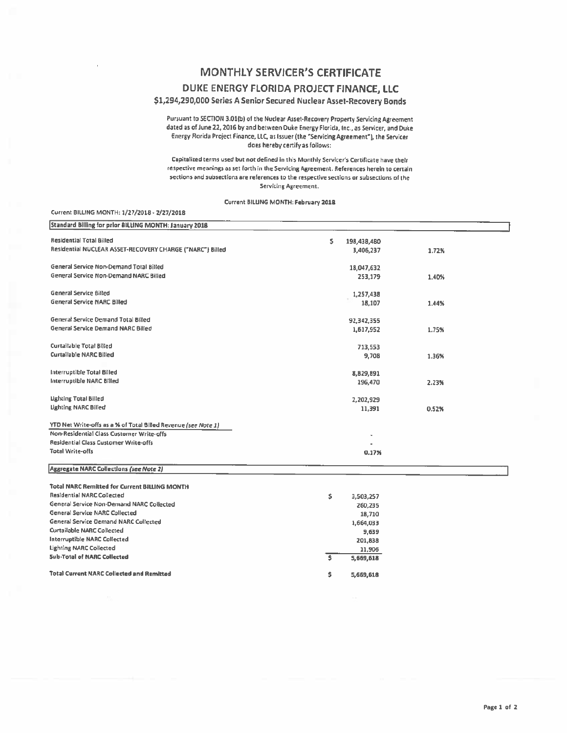## **MONTHLY SERVICER'S CERTIFICATE**

### DUKE ENERGY FLORIDA PROJECT FINANCE, LLC

### \$1,294,290,000 Series A Senior Secured Nuclear Asset-Recovery Bonds

Pursuant to SECTION 3.01(b) of the Nuclear Asset-Recovery Property Servicing Agreement dated as of June 22, 2016 by and between Duke Energy Florida, Inc., as Servicer, and Duke Energy Florida Project Finance, LLC, as Issuer (the "Servicing Agreement"), the Servicer does hereby certify as follows:

Capitalized terms used but not defined in this Monthly Servicer's Certificate have their respective meanings as set forth in the Servicing Agreement. References herein to certain sections and subsections are references to the respective sections or subsections of the Servicing Agreement.

#### Current BILLING MONTH: February 2018

#### Current BILLING MONTH: 1/27/2018 - 2/27/2018

| Standard Billing for prior BILLING MONTH: January 2018         |                                       |       |  |
|----------------------------------------------------------------|---------------------------------------|-------|--|
| Residential Total Billed                                       | s.<br>198,438,480                     |       |  |
| Residential NUCLEAR ASSET-RECOVERY CHARGE ("NARC") Billed      | 3,406,237                             | 1.72% |  |
|                                                                |                                       |       |  |
| General Service Non-Demand Total Billed                        | 18,047,632                            |       |  |
| General Service Non-Demand NARC Billed                         | 253,179                               | 1.40% |  |
|                                                                |                                       |       |  |
| <b>General Service Billed</b>                                  | 1,257,438                             |       |  |
| <b>General Service NARC Billed</b>                             | 18,107                                | 1.44% |  |
|                                                                |                                       |       |  |
| General Service Demand Total Billed                            | 92,342,355                            |       |  |
| <b>General Service Demand NARC Billed</b>                      | 1,617,952                             | 1.75% |  |
|                                                                |                                       |       |  |
| <b>Curtailable Total Billed</b>                                | 713,553                               |       |  |
| Curtailable NARC Billed                                        | 9,708                                 | 1.36% |  |
|                                                                |                                       |       |  |
| Interruptible Total Billed                                     | 8,829,891                             |       |  |
| Interruptible NARC Billed                                      | 196,470                               | 2.23% |  |
| Lighting Total Billed                                          |                                       |       |  |
| <b>Lighting NARC Billed</b>                                    | 2,202,929                             |       |  |
|                                                                | 11,391                                | 0.52% |  |
| YTD Net Write-offs as a % of Total Billed Revenue (see Note 1) |                                       |       |  |
| Non-Residential Class Customer Write-offs                      |                                       |       |  |
| Residential Class Customer Write-offs                          |                                       |       |  |
| <b>Total Write-offs</b>                                        | 0.17%                                 |       |  |
|                                                                |                                       |       |  |
| Aggregate NARC Collections (see Note 2)                        |                                       |       |  |
|                                                                |                                       |       |  |
| <b>Total NARC Remitted for Current BILLING MONTH</b>           |                                       |       |  |
| <b>Residential NARC Collected</b>                              | \$<br>3,503,257                       |       |  |
| General Service Non-Demand NARC Collected                      | 260,235                               |       |  |
| <b>General Service NARC Collected</b>                          | 18,710                                |       |  |
| General Service Demand NARC Collected                          | 1,664,033                             |       |  |
| Curtailable NARC Collected                                     | 9,639                                 |       |  |
| Interruptible NARC Collected                                   | 201,838                               |       |  |
| <b>Lighting NARC Collected</b>                                 | 11,906                                |       |  |
| <b>5ub-Total of NARC Collected</b>                             | $\overline{\phantom{a}}$<br>5,669,618 |       |  |
| <b>Total Current NARC Collected and Remitted</b>               |                                       |       |  |
|                                                                | \$<br>5,669,618                       |       |  |
|                                                                |                                       |       |  |